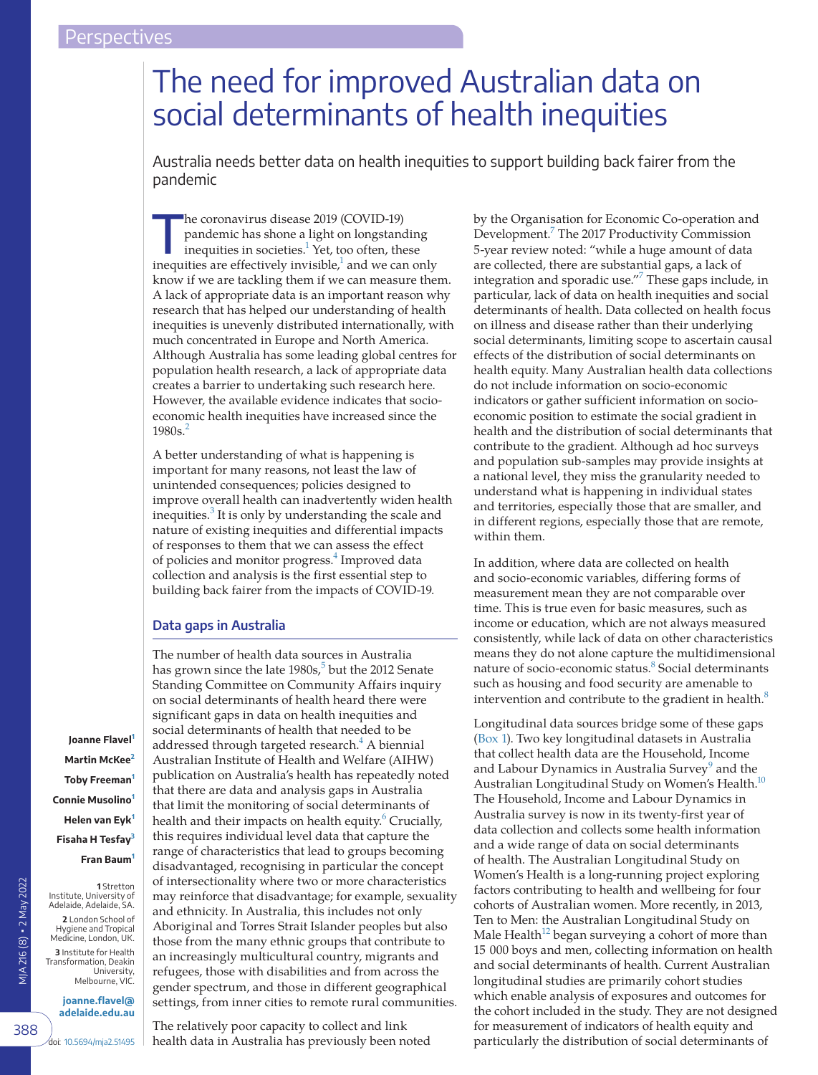# The need for improved Australian data on social determinants of health inequities

Australia needs better data on health inequities to support building back fairer from the pandemic

The coronavirus disease 2019 (COVID-19)<br>
pandemic has shone a light on longstanding<br>
inequities in societies.<sup>1</sup> Yet, too often, these pandemic has shone a light on longstanding inequities are effectively invisible, $^1$  and we can only know if we are tackling them if we can measure them. A lack of appropriate data is an important reason why research that has helped our understanding of health inequities is unevenly distributed internationally, with much concentrated in Europe and North America. Although Australia has some leading global centres for population health research, a lack of appropriate data creates a barrier to undertaking such research here. However, the available evidence indicates that socioeconomic health inequities have increased since the  $1980s<sup>2</sup>$  $1980s<sup>2</sup>$  $1980s<sup>2</sup>$ 

A better understanding of what is happening is important for many reasons, not least the law of unintended consequences; policies designed to improve overall health can inadvertently widen health inequities.<sup>[3](#page-3-0)</sup> It is only by understanding the scale and nature of existing inequities and differential impacts of responses to them that we can assess the effect of policies and monitor progress.<sup>[4](#page-3-1)</sup> Improved data collection and analysis is the first essential step to building back fairer from the impacts of COVID-19.

## **Data gaps in Australia**

The number of health data sources in Australia has grown since the late 1980s,<sup>[5](#page-3-2)</sup> but the 2012 Senate Standing Committee on Community Affairs inquiry on social determinants of health heard there were significant gaps in data on health inequities and social determinants of health that needed to be addressed through targeted research.<sup>4</sup> A biennial Australian Institute of Health and Welfare (AIHW) publication on Australia's health has repeatedly noted that there are data and analysis gaps in Australia that limit the monitoring of social determinants of health and their impacts on health equity.<sup>6</sup> Crucially, this requires individual level data that capture the range of characteristics that lead to groups becoming disadvantaged, recognising in particular the concept of intersectionality where two or more characteristics may reinforce that disadvantage; for example, sexuality and ethnicity. In Australia, this includes not only Aboriginal and Torres Strait Islander peoples but also those from the many ethnic groups that contribute to an increasingly multicultural country, migrants and refugees, those with disabilities and from across the gender spectrum, and those in different geographical settings, from inner cities to remote rural communities.

The relatively poor capacity to collect and link health data in Australia has previously been noted by the Organisation for Economic Co-operation and Development.<sup>[7](#page-3-4)</sup> The 2017 Productivity Commission 5-year review noted: "while a huge amount of data are collected, there are substantial gaps, a lack of integration and sporadic use."<sup>7</sup> These gaps include, in particular, lack of data on health inequities and social determinants of health. Data collected on health focus on illness and disease rather than their underlying social determinants, limiting scope to ascertain causal effects of the distribution of social determinants on health equity. Many Australian health data collections do not include information on socio-economic indicators or gather sufficient information on socioeconomic position to estimate the social gradient in health and the distribution of social determinants that contribute to the gradient. Although ad hoc surveys and population sub-samples may provide insights at a national level, they miss the granularity needed to understand what is happening in individual states and territories, especially those that are smaller, and in different regions, especially those that are remote, within them.

In addition, where data are collected on health and socio-economic variables, differing forms of measurement mean they are not comparable over time. This is true even for basic measures, such as income or education, which are not always measured consistently, while lack of data on other characteristics means they do not alone capture the multidimensional nature of socio-economic status.<sup>[8](#page-3-5)</sup> Social determinants such as housing and food security are amenable to intervention and contribute to the gradient in health. $8$ 

Longitudinal data sources bridge some of these gaps ([Box 1](#page-1-0)). Two key longitudinal datasets in Australia that collect health data are the Household, Income and Labour Dynamics in Australia Survey<sup>[9](#page-3-6)</sup> and the Australian Longitudinal Study on Women's Health.<sup>10</sup> The Household, Income and Labour Dynamics in Australia survey is now in its twenty-first year of data collection and collects some health information and a wide range of data on social determinants of health. The Australian Longitudinal Study on Women's Health is a long-running project exploring factors contributing to health and wellbeing for four cohorts of Australian women. More recently, in 2013, Ten to Men: the Australian Longitudinal Study on Male Health<sup>12</sup> began surveying a cohort of more than 15 000 boys and men, collecting information on health and social determinants of health. Current Australian longitudinal studies are primarily cohort studies which enable analysis of exposures and outcomes for the cohort included in the study. They are not designed for measurement of indicators of health equity and particularly the distribution of social determinants of

**Joanne Flavel[1](#page-0-0) Martin McKee[2](#page-0-1) Toby Freeman[1](#page-0-0) Connie Musolino[1](#page-0-0) Helen van Eyk[1](#page-0-0) Fisaha H Tesfay[3](#page-0-2) Fran Baum[1](#page-0-0)**

<span id="page-0-1"></span><span id="page-0-0"></span>**1** Stretton

<span id="page-0-2"></span>University, Melbourne, VIC.

VIA 216 (8) · 2 May 2022 MJA 216 (8) ▪ 2 May 2022 Institute, University of Adelaide, Adelaide, SA. **2** London School of Hygiene and Tropical Medicine, London, UK. **3** Institute for Health

Transformation, Deakin

388

**[joanne.flavel@](mailto:joanne.flavel@adelaide.edu.au) [adelaide.edu.au](mailto:joanne.flavel@adelaide.edu.au)**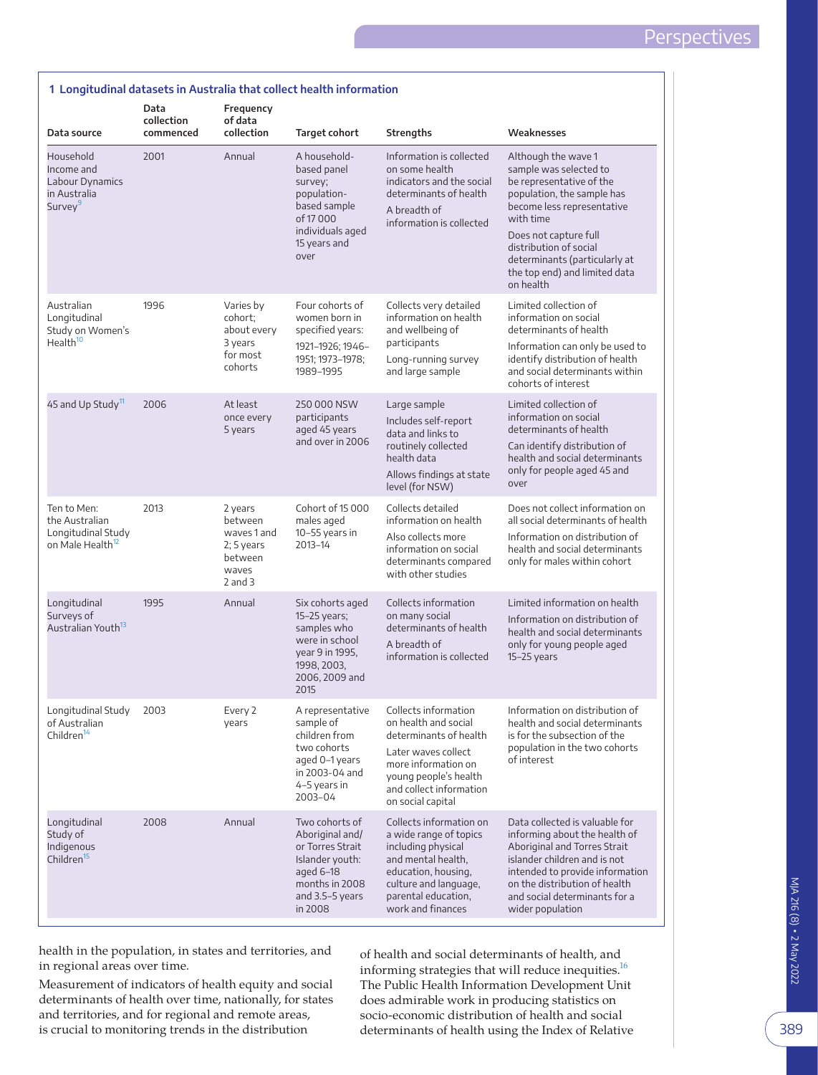<span id="page-1-0"></span>

|                                                                                     | Data<br>collection | Frequency<br>of data                                                                 | 1 Longitudinal datasets in Australia that collect health information                                                                    |                                                                                                                                                                                               |                                                                                                                                                                                                                                                                                      |
|-------------------------------------------------------------------------------------|--------------------|--------------------------------------------------------------------------------------|-----------------------------------------------------------------------------------------------------------------------------------------|-----------------------------------------------------------------------------------------------------------------------------------------------------------------------------------------------|--------------------------------------------------------------------------------------------------------------------------------------------------------------------------------------------------------------------------------------------------------------------------------------|
| Data source                                                                         | commenced          | collection                                                                           | Target cohort                                                                                                                           | Strengths                                                                                                                                                                                     | Weaknesses                                                                                                                                                                                                                                                                           |
| Household<br>Income and<br>Labour Dynamics<br>in Australia<br>Survey <sup>9</sup>   | 2001               | Annual                                                                               | A household-<br>based panel<br>survey;<br>population-<br>based sample<br>of 17000<br>individuals aged<br>15 years and<br>over           | Information is collected<br>on some health<br>indicators and the social<br>determinants of health<br>A breadth of<br>information is collected                                                 | Although the wave 1<br>sample was selected to<br>be representative of the<br>population, the sample has<br>become less representative<br>with time<br>Does not capture full<br>distribution of social<br>determinants (particularly at<br>the top end) and limited data<br>on health |
| Australian<br>Longitudinal<br>Study on Women's<br>Health <sup>10</sup>              | 1996               | Varies by<br>cohort;<br>about every<br>3 years<br>for most<br>cohorts                | Four cohorts of<br>women born in<br>specified years:<br>1921-1926; 1946-<br>1951; 1973-1978;<br>1989-1995                               | Collects very detailed<br>information on health<br>and wellbeing of<br>participants<br>Long-running survey<br>and large sample                                                                | Limited collection of<br>information on social<br>determinants of health                                                                                                                                                                                                             |
|                                                                                     |                    |                                                                                      |                                                                                                                                         |                                                                                                                                                                                               | Information can only be used to<br>identify distribution of health<br>and social determinants within<br>cohorts of interest                                                                                                                                                          |
| 45 and Up Study <sup>11</sup>                                                       | 2006               | At least<br>once every<br>5 years                                                    | 250 000 NSW<br>participants<br>aged 45 years<br>and over in 2006                                                                        | Large sample<br>Includes self-report<br>data and links to<br>routinely collected<br>health data<br>Allows findings at state<br>level (for NSW)                                                | Limited collection of<br>information on social<br>determinants of health                                                                                                                                                                                                             |
|                                                                                     |                    |                                                                                      |                                                                                                                                         |                                                                                                                                                                                               | Can identify distribution of<br>health and social determinants<br>only for people aged 45 and<br>over                                                                                                                                                                                |
| Ten to Men:<br>the Australian<br>Longitudinal Study<br>on Male Health <sup>12</sup> | 2013               | 2 years<br>between<br>waves 1 and<br>$2; 5$ years<br>between<br>waves<br>$2$ and $3$ | Cohort of 15000<br>males aged<br>10-55 years in<br>2013-14                                                                              | Collects detailed<br>information on health<br>Also collects more<br>information on social<br>determinants compared<br>with other studies                                                      | Does not collect information on<br>all social determinants of health<br>Information on distribution of<br>health and social determinants<br>only for males within cohort                                                                                                             |
| Longitudinal<br>Surveys of<br>Australian Youth <sup>13</sup>                        | 1995               | Annual                                                                               | Six cohorts aged<br>15-25 years;<br>samples who<br>were in school<br>year 9 in 1995,<br>1998, 2003,<br>2006, 2009 and<br>2015           | Collects information<br>on many social<br>determinants of health<br>A breadth of<br>information is collected                                                                                  | Limited information on health<br>Information on distribution of<br>health and social determinants<br>only for young people aged<br>$15-25$ years                                                                                                                                     |
| Longitudinal Study<br>of Australian<br>Children <sup>14</sup>                       | 2003               | Every 2<br>years                                                                     | A representative<br>sample of<br>children from<br>two cohorts<br>aged 0-1 years<br>in 2003-04 and<br>4-5 years in<br>2003-04            | Collects information<br>on health and social<br>determinants of health<br>Later waves collect<br>more information on<br>young people's health<br>and collect information<br>on social capital | Information on distribution of<br>health and social determinants<br>is for the subsection of the<br>population in the two cohorts<br>of interest                                                                                                                                     |
| Longitudinal<br>Study of<br>Indigenous<br>Children <sup>15</sup>                    | 2008               | Annual                                                                               | Two cohorts of<br>Aboriginal and/<br>or Torres Strait<br>Islander youth:<br>aged $6-18$<br>months in 2008<br>and 3.5-5 years<br>in 2008 | Collects information on<br>a wide range of topics<br>including physical<br>and mental health,<br>education, housing,<br>culture and language,<br>parental education,<br>work and finances     | Data collected is valuable for<br>informing about the health of<br>Aboriginal and Torres Strait<br>islander children and is not<br>intended to provide information<br>on the distribution of health<br>and social determinants for a<br>wider population                             |

#### health in the population, in states and territories, and in regional areas over time.

Measurement of indicators of health equity and social determinants of health over time, nationally, for states and territories, and for regional and remote areas, is crucial to monitoring trends in the distribution

of health and social determinants of health, and informing strategies that will reduce inequities. $^{16}$ The Public Health Information Development Unit does admirable work in producing statistics on socio-economic distribution of health and social determinants of health using the Index of Relative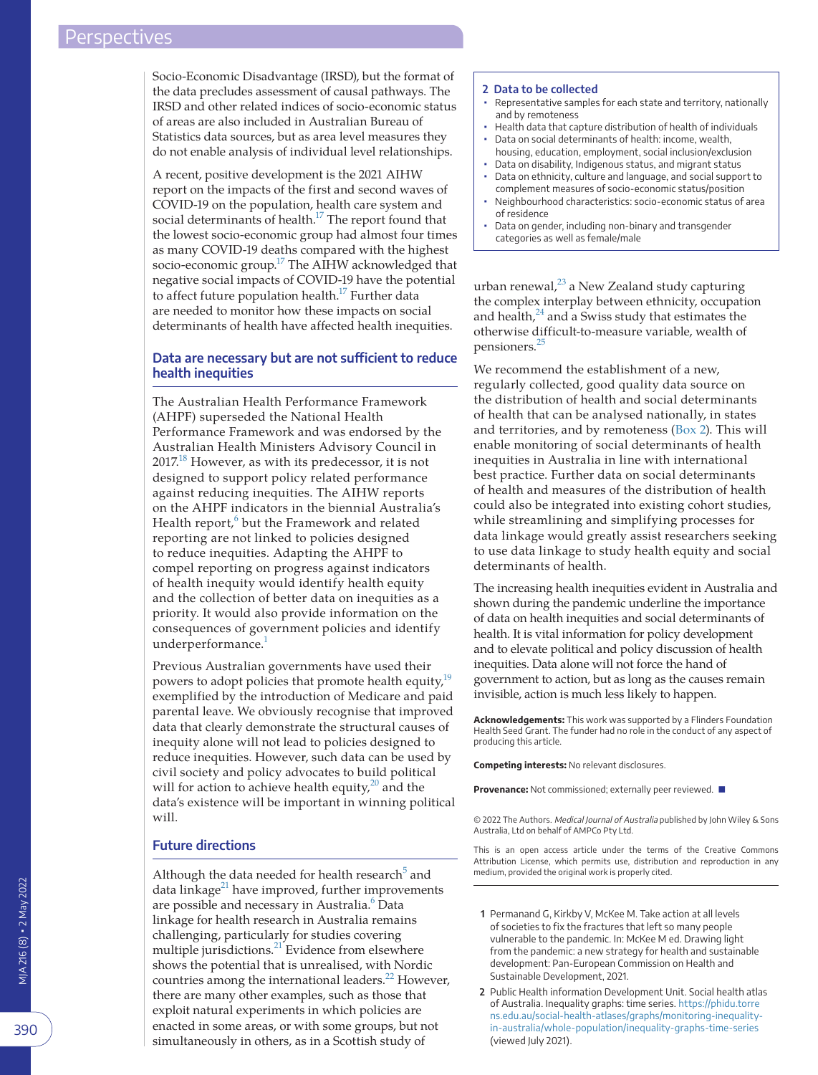Socio-Economic Disadvantage (IRSD), but the format of the data precludes assessment of causal pathways. The IRSD and other related indices of socio-economic status of areas are also included in Australian Bureau of Statistics data sources, but as area level measures they do not enable analysis of individual level relationships.

A recent, positive development is the 2021 AIHW report on the impacts of the first and second waves of COVID-19 on the population, health care system and social determinants of health.<sup>17</sup> The report found that the lowest socio-economic group had almost four times as many COVID-19 deaths compared with the highest socio-economic group.<sup>17</sup> The AIHW acknowledged that negative social impacts of COVID-19 have the potential to affect future population health.<sup>17</sup> Further data are needed to monitor how these impacts on social determinants of health have affected health inequities.

# **Data are necessary but are not sufficient to reduce health inequities**

The Australian Health Performance Framework (AHPF) superseded the National Health Performance Framework and was endorsed by the Australian Health Ministers Advisory Council in  $2017^{18}$  However, as with its predecessor, it is not designed to support policy related performance against reducing inequities. The AIHW reports on the AHPF indicators in the biennial Australia's Health report,<sup>[6](#page-3-3)</sup> but the Framework and related reporting are not linked to policies designed to reduce inequities. Adapting the AHPF to compel reporting on progress against indicators of health inequity would identify health equity and the collection of better data on inequities as a priority. It would also provide information on the consequences of government policies and identify underperformance.<sup>1</sup>

Previous Australian governments have used their powers to adopt policies that promote health equity,<sup>19</sup> exemplified by the introduction of Medicare and paid parental leave. We obviously recognise that improved data that clearly demonstrate the structural causes of inequity alone will not lead to policies designed to reduce inequities. However, such data can be used by civil society and policy advocates to build political will for action to achieve health equity, $^{20}$  $^{20}$  $^{20}$  and the data's existence will be important in winning political will.

## **Future directions**

Although the data needed for health research<sup>[5](#page-3-2)</sup> and data linkage $^{21}$  $^{21}$  $^{21}$  have improved, further improvements are possible and necessary in Australia.<sup>[6](#page-3-3)</sup> Data linkage for health research in Australia remains challenging, particularly for studies covering multiple jurisdictions.<sup>21</sup> Evidence from elsewhere shows the potential that is unrealised, with Nordic countries among the international leaders.<sup>[22](#page-3-19)</sup> However, there are many other examples, such as those that exploit natural experiments in which policies are enacted in some areas, or with some groups, but not simultaneously in others, as in a Scottish study of

#### <span id="page-2-2"></span>**2 Data to be collected**

- Representative samples for each state and territory, nationally and by remoteness
- Health data that capture distribution of health of individuals Data on social determinants of health: income, wealth,
- housing, education, employment, social inclusion/exclusion
- Data on disability, Indigenous status, and migrant status Data on ethnicity, culture and language, and social support to
- complement measures of socio-economic status/position
- Neighbourhood characteristics: socio-economic status of area of residence
- Data on gender, including non-binary and transgender categories as well as female/male

urban renewal, $^{23}$  $^{23}$  $^{23}$  a New Zealand study capturing the complex interplay between ethnicity, occupation and health,<sup>[24](#page-3-21)</sup> and a Swiss study that estimates the otherwise difficult-to-measure variable, wealth of pensioners.[25](#page-3-22)

We recommend the establishment of a new, regularly collected, good quality data source on the distribution of health and social determinants of health that can be analysed nationally, in states and territories, and by remoteness ([Box 2\)](#page-2-2). This will enable monitoring of social determinants of health inequities in Australia in line with international best practice. Further data on social determinants of health and measures of the distribution of health could also be integrated into existing cohort studies, while streamlining and simplifying processes for data linkage would greatly assist researchers seeking to use data linkage to study health equity and social determinants of health.

The increasing health inequities evident in Australia and shown during the pandemic underline the importance of data on health inequities and social determinants of health. It is vital information for policy development and to elevate political and policy discussion of health inequities. Data alone will not force the hand of government to action, but as long as the causes remain invisible, action is much less likely to happen.

**Acknowledgements:** This work was supported by a Flinders Foundation Health Seed Grant. The funder had no role in the conduct of any aspect of producing this article.

**Competing interests:** No relevant disclosures.

**Provenance:** Not commissioned; externally peer reviewed. ■

© 2022 The Authors. Medical Journal of Australia published by John Wiley & Sons Australia, Ltd on behalf of AMPCo Pty Ltd.

This is an open access article under the terms of the Creative Commons Attribution License, which permits use, distribution and reproduction in any medium, provided the original work is properly cited.

- <span id="page-2-0"></span>**1** Permanand G, Kirkby V, McKee M. Take action at all levels of societies to fix the fractures that left so many people vulnerable to the pandemic. In: McKee M ed. Drawing light from the pandemic: a new strategy for health and sustainable development: Pan-European Commission on Health and Sustainable Development, 2021.
- <span id="page-2-1"></span>**2** Public Health information Development Unit. Social health atlas of Australia. Inequality graphs: time series. [https://phidu.torre](https://phidu.torrens.edu.au/social-health-atlases/graphs/monitoring-inequality-in-australia/whole-population/inequality-graphs-time-series) ns.edu.au/social-health-atlases/graphs/monitoring-inequalityin-australia/whole-population/inequality-graphs-time-series (viewed July 2021).